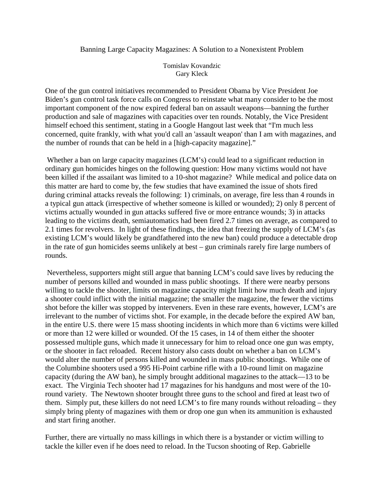## Banning Large Capacity Magazines: A Solution to a Nonexistent Problem

Tomislav Kovandzic Gary Kleck

One of the gun control initiatives recommended to President Obama by Vice President Joe Biden's gun control task force calls on Congress to reinstate what many consider to be the most important component of the now expired federal ban on assault weapons—banning the further production and sale of magazines with capacities over ten rounds. Notably, the Vice President himself echoed this sentiment, stating in a Google Hangout last week that "I'm much less concerned, quite frankly, with what you'd call an 'assault weapon' than I am with magazines, and the number of rounds that can be held in a [high-capacity magazine]."

 Whether a ban on large capacity magazines (LCM's) could lead to a significant reduction in ordinary gun homicides hinges on the following question: How many victims would not have been killed if the assailant was limited to a 10-shot magazine? While medical and police data on this matter are hard to come by, the few studies that have examined the issue of shots fired during criminal attacks reveals the following: 1) criminals, on average, fire less than 4 rounds in a typical gun attack (irrespective of whether someone is killed or wounded); 2) only 8 percent of victims actually wounded in gun attacks suffered five or more entrance wounds; 3) in attacks leading to the victims death, semiautomatics had been fired 2.7 times on average, as compared to 2.1 times for revolvers. In light of these findings, the idea that freezing the supply of LCM's (as existing LCM's would likely be grandfathered into the new ban) could produce a detectable drop in the rate of gun homicides seems unlikely at best – gun criminals rarely fire large numbers of rounds.

 Nevertheless, supporters might still argue that banning LCM's could save lives by reducing the number of persons killed and wounded in mass public shootings. If there were nearby persons willing to tackle the shooter, limits on magazine capacity might limit how much death and injury a shooter could inflict with the initial magazine; the smaller the magazine, the fewer the victims shot before the killer was stopped by interveners. Even in these rare events, however, LCM's are irrelevant to the number of victims shot. For example, in the decade before the expired AW ban, in the entire U.S. there were 15 mass shooting incidents in which more than 6 victims were killed or more than 12 were killed or wounded. Of the 15 cases, in 14 of them either the shooter possessed multiple guns, which made it unnecessary for him to reload once one gun was empty, or the shooter in fact reloaded. Recent history also casts doubt on whether a ban on LCM's would alter the number of persons killed and wounded in mass public shootings. While one of the Columbine shooters used a 995 Hi-Point carbine rifle with a 10-round limit on magazine capacity (during the AW ban), he simply brought additional magazines to the attack—13 to be exact. The Virginia Tech shooter had 17 magazines for his handguns and most were of the 10 round variety. The Newtown shooter brought three guns to the school and fired at least two of them. Simply put, these killers do not need LCM's to fire many rounds without reloading – they simply bring plenty of magazines with them or drop one gun when its ammunition is exhausted and start firing another.

Further, there are virtually no mass killings in which there is a bystander or victim willing to tackle the killer even if he does need to reload. In the Tucson shooting of Rep. Gabrielle